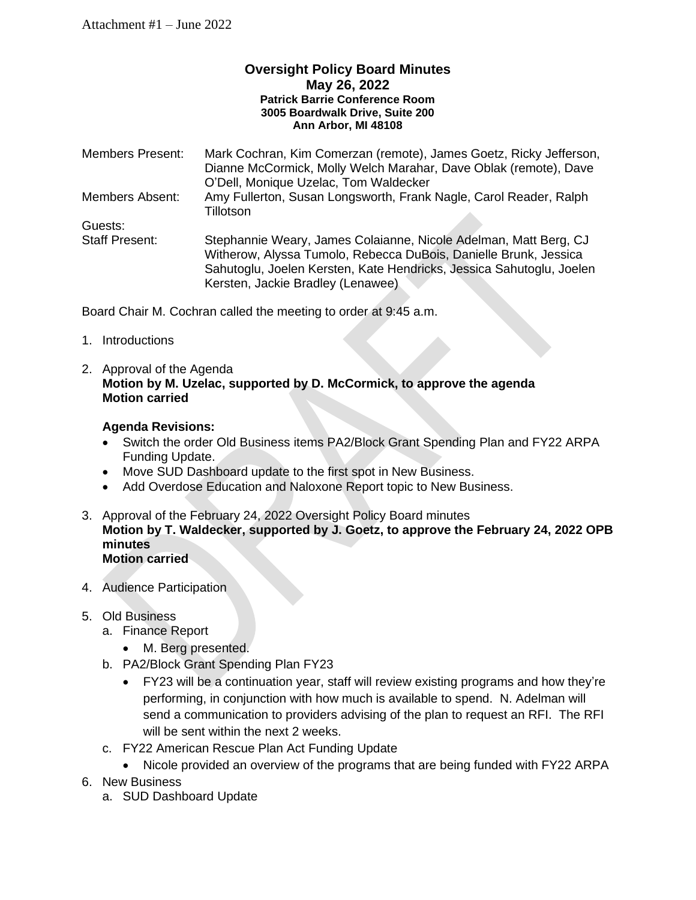## **Oversight Policy Board Minutes May 26, 2022 Patrick Barrie Conference Room 3005 Boardwalk Drive, Suite 200 Ann Arbor, MI 48108**

| <b>Members Present:</b> | Mark Cochran, Kim Comerzan (remote), James Goetz, Ricky Jefferson,<br>Dianne McCormick, Molly Welch Marahar, Dave Oblak (remote), Dave<br>O'Dell, Monique Uzelac, Tom Waldecker                                                                   |
|-------------------------|---------------------------------------------------------------------------------------------------------------------------------------------------------------------------------------------------------------------------------------------------|
| <b>Members Absent:</b>  | Amy Fullerton, Susan Longsworth, Frank Nagle, Carol Reader, Ralph<br>Tillotson                                                                                                                                                                    |
| Guests:                 |                                                                                                                                                                                                                                                   |
| <b>Staff Present:</b>   | Stephannie Weary, James Colaianne, Nicole Adelman, Matt Berg, CJ<br>Witherow, Alyssa Tumolo, Rebecca DuBois, Danielle Brunk, Jessica<br>Sahutoglu, Joelen Kersten, Kate Hendricks, Jessica Sahutoglu, Joelen<br>Kersten, Jackie Bradley (Lenawee) |

Board Chair M. Cochran called the meeting to order at 9:45 a.m.

- 1. Introductions
- 2. Approval of the Agenda **Motion by M. Uzelac, supported by D. McCormick, to approve the agenda Motion carried**

## **Agenda Revisions:**

- Switch the order Old Business items PA2/Block Grant Spending Plan and FY22 ARPA Funding Update.
- Move SUD Dashboard update to the first spot in New Business.
- Add Overdose Education and Naloxone Report topic to New Business.
- 3. Approval of the February 24, 2022 Oversight Policy Board minutes **Motion by T. Waldecker, supported by J. Goetz, to approve the February 24, 2022 OPB minutes Motion carried**
- 4. Audience Participation

## 5. Old Business

- a. Finance Report
	- M. Berg presented.
- b. PA2/Block Grant Spending Plan FY23
	- FY23 will be a continuation year, staff will review existing programs and how they're performing, in conjunction with how much is available to spend. N. Adelman will send a communication to providers advising of the plan to request an RFI. The RFI will be sent within the next 2 weeks.
- c. FY22 American Rescue Plan Act Funding Update
	- Nicole provided an overview of the programs that are being funded with FY22 ARPA
- 6. New Business
	- a. SUD Dashboard Update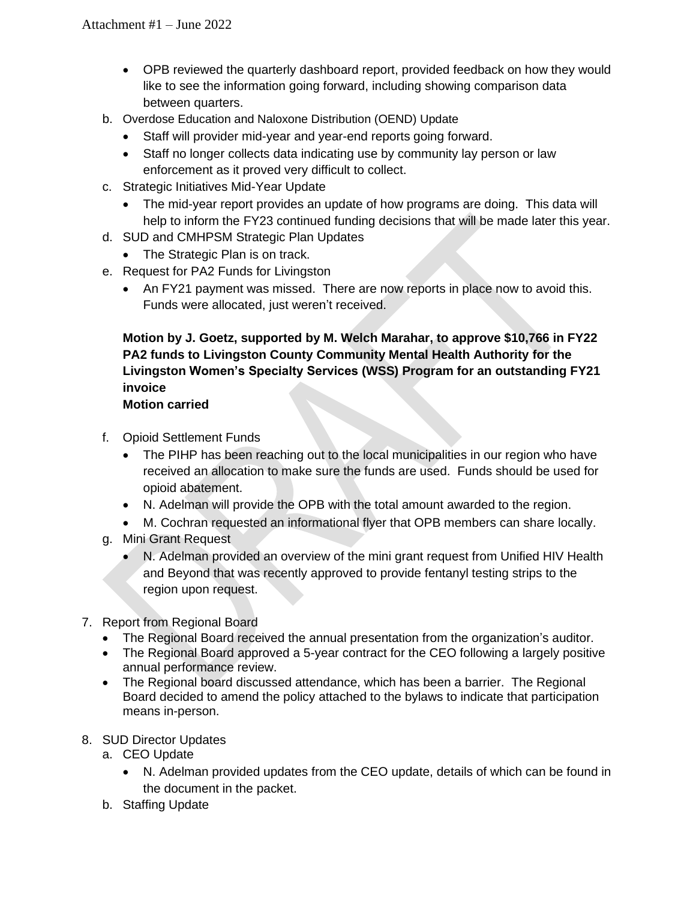- OPB reviewed the quarterly dashboard report, provided feedback on how they would like to see the information going forward, including showing comparison data between quarters.
- b. Overdose Education and Naloxone Distribution (OEND) Update
	- Staff will provider mid-year and year-end reports going forward.
	- Staff no longer collects data indicating use by community lay person or law enforcement as it proved very difficult to collect.
- c. Strategic Initiatives Mid-Year Update
	- The mid-year report provides an update of how programs are doing. This data will help to inform the FY23 continued funding decisions that will be made later this year.
- d. SUD and CMHPSM Strategic Plan Updates
	- The Strategic Plan is on track.
- e. Request for PA2 Funds for Livingston
	- An FY21 payment was missed. There are now reports in place now to avoid this. Funds were allocated, just weren't received.

**Motion by J. Goetz, supported by M. Welch Marahar, to approve \$10,766 in FY22 PA2 funds to Livingston County Community Mental Health Authority for the Livingston Women's Specialty Services (WSS) Program for an outstanding FY21 invoice Motion carried**

- f. Opioid Settlement Funds
	- The PIHP has been reaching out to the local municipalities in our region who have received an allocation to make sure the funds are used. Funds should be used for opioid abatement.
	- N. Adelman will provide the OPB with the total amount awarded to the region.
	- M. Cochran requested an informational flyer that OPB members can share locally.
- g. Mini Grant Request
	- N. Adelman provided an overview of the mini grant request from Unified HIV Health and Beyond that was recently approved to provide fentanyl testing strips to the region upon request.
- 7. Report from Regional Board
	- The Regional Board received the annual presentation from the organization's auditor.
	- The Regional Board approved a 5-year contract for the CEO following a largely positive annual performance review.
	- The Regional board discussed attendance, which has been a barrier. The Regional Board decided to amend the policy attached to the bylaws to indicate that participation means in-person.
- 8. SUD Director Updates
	- a. CEO Update
		- N. Adelman provided updates from the CEO update, details of which can be found in the document in the packet.
	- b. Staffing Update